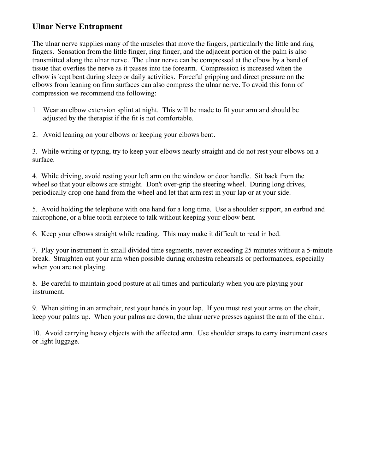## **Ulnar Nerve Entrapment**

The ulnar nerve supplies many of the muscles that move the fingers, particularly the little and ring fingers. Sensation from the little finger, ring finger, and the adjacent portion of the palm is also transmitted along the ulnar nerve. The ulnar nerve can be compressed at the elbow by a band of tissue that overlies the nerve as it passes into the forearm. Compression is increased when the elbow is kept bent during sleep or daily activities. Forceful gripping and direct pressure on the elbows from leaning on firm surfaces can also compress the ulnar nerve. To avoid this form of compression we recommend the following:

1 Wear an elbow extension splint at night. This will be made to fit your arm and should be adjusted by the therapist if the fit is not comfortable.

2. Avoid leaning on your elbows or keeping your elbows bent.

3. While writing or typing, try to keep your elbows nearly straight and do not rest your elbows on a surface.

4. While driving, avoid resting your left arm on the window or door handle. Sit back from the wheel so that your elbows are straight. Don't over-grip the steering wheel. During long drives, periodically drop one hand from the wheel and let that arm rest in your lap or at your side.

5. Avoid holding the telephone with one hand for a long time. Use a shoulder support, an earbud and microphone, or a blue tooth earpiece to talk without keeping your elbow bent.

6. Keep your elbows straight while reading. This may make it difficult to read in bed.

7. Play your instrument in small divided time segments, never exceeding 25 minutes without a 5-minute break. Straighten out your arm when possible during orchestra rehearsals or performances, especially when you are not playing.

8. Be careful to maintain good posture at all times and particularly when you are playing your instrument.

9. When sitting in an armchair, rest your hands in your lap. If you must rest your arms on the chair, keep your palms up. When your palms are down, the ulnar nerve presses against the arm of the chair.

10. Avoid carrying heavy objects with the affected arm. Use shoulder straps to carry instrument cases or light luggage.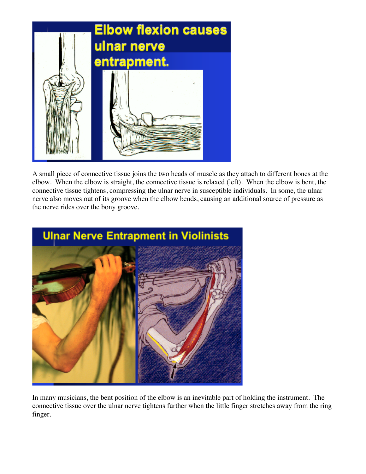

A small piece of connective tissue joins the two heads of muscle as they attach to different bones at the elbow. When the elbow is straight, the connective tissue is relaxed (left). When the elbow is bent, the connective tissue tightens, compressing the ulnar nerve in susceptible individuals. In some, the ulnar nerve also moves out of its groove when the elbow bends, causing an additional source of pressure as the nerve rides over the bony groove.



In many musicians, the bent position of the elbow is an inevitable part of holding the instrument. The connective tissue over the ulnar nerve tightens further when the little finger stretches away from the ring finger.